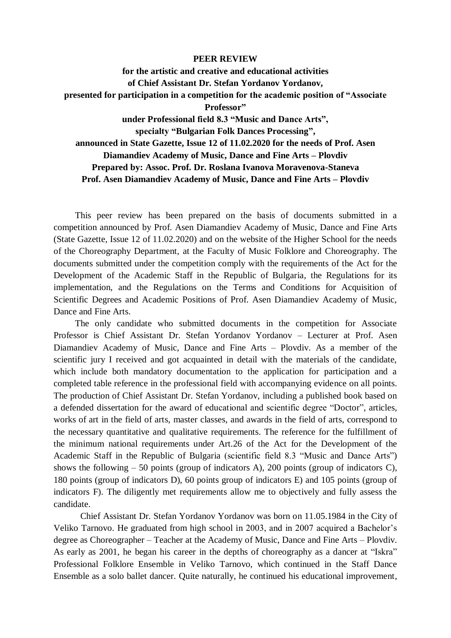## **PEER REVIEW**

## **for the artistic and creative and educational activities of Chief Assistant Dr. Stefan Yordanov Yordanov, presented for participation in a competition for the academic position of "Associate Professor" under Professional field 8.3 "Music and Dance Arts", specialty "Bulgarian Folk Dances Processing", announced in State Gazette, Issue 12 of 11.02.2020 for the needs of Prof. Asen Diamandiev Academy of Music, Dance and Fine Arts – Plovdiv Prepared by: Assoc. Prof. Dr. Roslana Ivanova Moravenova-Staneva Prof. Asen Diamandiev Academy of Music, Dance and Fine Arts – Plovdiv**

This peer review has been prepared on the basis of documents submitted in a competition announced by Prof. Asen Diamandiev Academy of Music, Dance and Fine Arts (State Gazette, Issue 12 of 11.02.2020) and on the website of the Higher School for the needs of the Choreography Department, at the Faculty of Music Folklore and Choreography. The documents submitted under the competition comply with the requirements of the Act for the Development of the Academic Staff in the Republic of Bulgaria, the Regulations for its implementation, and the Regulations on the Terms and Conditions for Acquisition of Scientific Degrees and Academic Positions of Prof. Asen Diamandiev Academy of Music, Dance and Fine Arts.

The only candidate who submitted documents in the competition for Associate Professor is Chief Assistant Dr. Stefan Yordanov Yordanov – Lecturer at Prof. Asen Diamandiev Academy of Music, Dance and Fine Arts – Plovdiv. As a member of the scientific jury I received and got acquainted in detail with the materials of the candidate, which include both mandatory documentation to the application for participation and a completed table reference in the professional field with accompanying evidence on all points. The production of Chief Assistant Dr. Stefan Yordanov, including a published book based on a defended dissertation for the award of educational and scientific degree "Doctor", articles, works of art in the field of arts, master classes, and awards in the field of arts, correspond to the necessary quantitative and qualitative requirements. The reference for the fulfillment of the minimum national requirements under Art.26 of the Act for the Development of the Academic Staff in the Republic of Bulgaria (scientific field 8.3 "Music and Dance Arts") shows the following  $-50$  points (group of indicators A), 200 points (group of indicators C), 180 points (group of indicators D), 60 points group of indicators E) and 105 points (group of indicators F). The diligently met requirements allow me to objectively and fully assess the candidate.

Chief Assistant Dr. Stefan Yordanov Yordanov was born on 11.05.1984 in the City of Veliko Tarnovo. He graduated from high school in 2003, and in 2007 acquired a Bachelor's degree as Choreographer – Teacher at the Academy of Music, Dance and Fine Arts – Plovdiv. As early as 2001, he began his career in the depths of choreography as a dancer at "Iskra" Professional Folklore Ensemble in Veliko Tarnovo, which continued in the Staff Dance Ensemble as a solo ballet dancer. Quite naturally, he continued his educational improvement,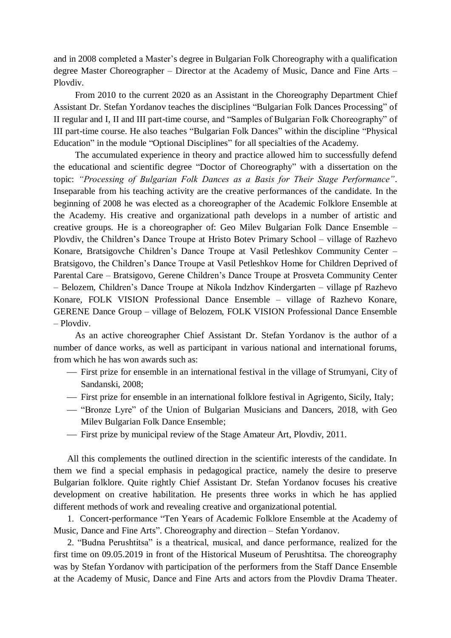and in 2008 completed a Master's degree in Bulgarian Folk Choreography with a qualification degree Master Choreographer – Director at the Academy of Music, Dance and Fine Arts – Plovdiv.

From 2010 to the current 2020 as an Assistant in the Choreography Department Chief Assistant Dr. Stefan Yordanov teaches the disciplines "Bulgarian Folk Dances Processing" of II regular and I, II and III part-time course, and "Samples of Bulgarian Folk Choreography" of III part-time course. He also teaches "Bulgarian Folk Dances" within the discipline "Physical Education" in the module "Optional Disciplines" for all specialties of the Academy.

The accumulated experience in theory and practice allowed him to successfully defend the educational and scientific degree "Doctor of Choreography" with a dissertation on the topic: *"Processing of Bulgarian Folk Dances as a Basis for Their Stage Performance"*. Inseparable from his teaching activity are the creative performances of the candidate. In the beginning of 2008 he was elected as a choreographer of the Academic Folklore Ensemble at the Academy. His creative and organizational path develops in a number of artistic and creative groups. He is a choreographer of: Geo Milev Bulgarian Folk Dance Ensemble – Plovdiv, the Children's Dance Troupe at Hristo Botev Primary School – village of Razhevo Konare, Bratsigovche Children's Dance Troupe at Vasil Petleshkov Community Center – Bratsigovo, the Children's Dance Troupe at Vasil Petleshkov Home for Children Deprived of Parental Care – Bratsigovo, Gerene Children's Dance Troupe at Prosveta Community Center – Belozem, Children's Dance Troupe at Nikola Indzhov Kindergarten – village pf Razhevo Konare, FOLK VISION Professional Dance Ensemble – village of Razhevo Konare, GERENE Dance Group – village of Belozem, FOLK VISION Professional Dance Ensemble – Plovdiv.

As an active choreographer Chief Assistant Dr. Stefan Yordanov is the author of a number of dance works, as well as participant in various national and international forums, from which he has won awards such as:

- First prize for ensemble in an international festival in the village of Strumyani, City of Sandanski, 2008;
- First prize for ensemble in an international folklore festival in Agrigento, Sicily, Italy;
- "Bronze Lyre" of the Union of Bulgarian Musicians and Dancers, 2018, with Geo Milev Bulgarian Folk Dance Ensemble;
- First prize by municipal review of the Stage Amateur Art, Plovdiv, 2011.

All this complements the outlined direction in the scientific interests of the candidate. In them we find a special emphasis in pedagogical practice, namely the desire to preserve Bulgarian folklore. Quite rightly Chief Assistant Dr. Stefan Yordanov focuses his creative development on creative habilitation. He presents three works in which he has applied different methods of work and revealing creative and organizational potential.

1. Concert-performance "Ten Years of Academic Folklore Ensemble at the Academy of Music, Dance and Fine Arts". Choreography and direction – Stefan Yordanov.

2. "Budna Perushtitsa" is a theatrical, musical, and dance performance, realized for the first time on 09.05.2019 in front of the Historical Museum of Perushtitsa. The choreography was by Stefan Yordanov with participation of the performers from the Staff Dance Ensemble at the Academy of Music, Dance and Fine Arts and actors from the Plovdiv Drama Theater.